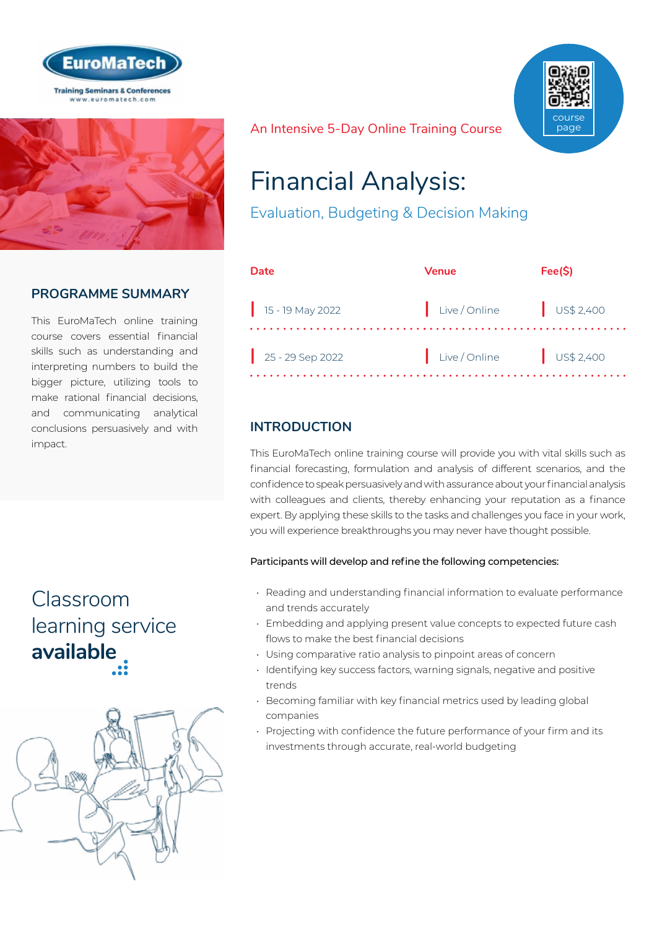



### **PROGRAMME SUMMARY**

This EuroMaTech online training course covers essential financial skills such as understanding and interpreting numbers to build the bigger picture, utilizing tools to make rational financial decisions, and communicating analytical conclusions persuasively and with impact.

# Classroom [learning service](https://www.euromatech.com/seminars/financial-analysis-evaluation-budgeting-and-decision-making/)  **available**



An Intensive 5-Day Online Training Course



# Financial Analysis:

Evaluation, Budgeting & Decision Making

| Date                         | Venue         | Fee(S)    |
|------------------------------|---------------|-----------|
| $\frac{1}{15}$ - 19 May 2022 | Live / Online | US\$2,400 |
| $25 - 29$ Sep 2022           | Live / Online | US\$2,400 |

# **INTRODUCTION**

This EuroMaTech online training course will provide you with vital skills such as financial forecasting, formulation and analysis of different scenarios, and the confidence to speak persuasively and with assurance about your financial analysis with colleagues and clients, thereby enhancing your reputation as a finance expert. By applying these skills to the tasks and challenges you face in your work, you will experience breakthroughs you may never have thought possible.

#### Participants will develop and refine the following competencies:

- Reading and understanding financial information to evaluate performance and trends accurately
- Embedding and applying present value concepts to expected future cash flows to make the best financial decisions
- Using comparative ratio analysis to pinpoint areas of concern
- Identifying key success factors, warning signals, negative and positive trends
- Becoming familiar with key financial metrics used by leading global companies
- Projecting with confidence the future performance of your firm and its investments through accurate, real-world budgeting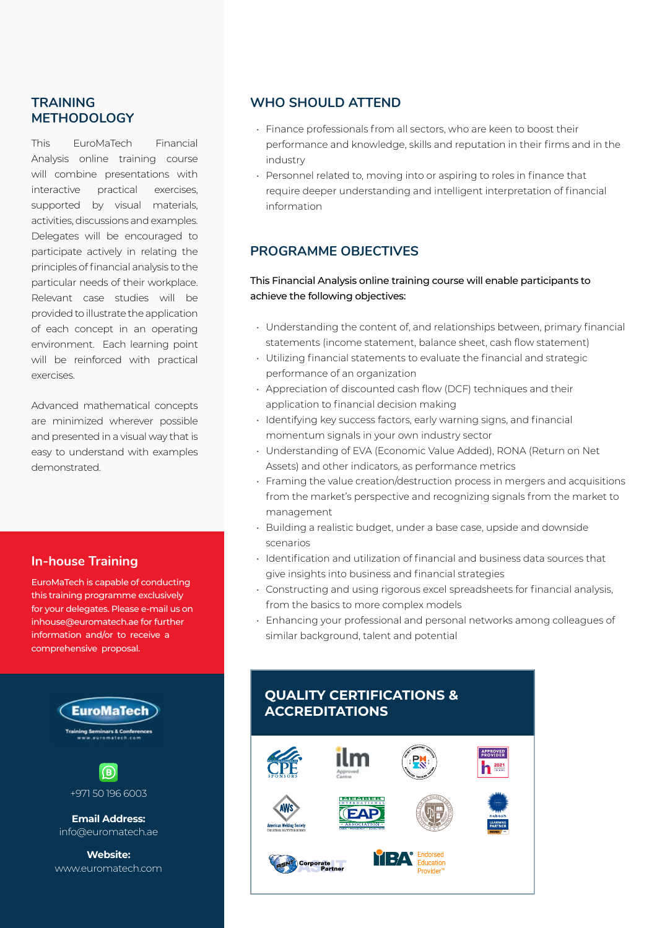#### **TRAINING METHODOLOGY**

This EuroMaTech Financial Analysis online training course will combine presentations with interactive practical exercises, supported by visual materials, activities, discussions and examples. Delegates will be encouraged to participate actively in relating the principles of financial analysis to the particular needs of their workplace. Relevant case studies will be provided to illustrate the application of each concept in an operating environment. Each learning point will be reinforced with practical exercises.

Advanced mathematical concepts are minimized wherever possible and presented in a visual way that is easy to understand with examples demonstrated.

#### **In-house Training**

EuroMaTech is capable of conducting this training programme exclusively for your delegates. Please e-mail us on inhouse@euromatech.ae for further information and/or to receive a comprehensive proposal.



+971 50 196 6003

**Email Address:** info@euromatech.ae

**Website:** www.euromatech.com

#### **WHO SHOULD ATTEND**

- Finance professionals from all sectors, who are keen to boost their performance and knowledge, skills and reputation in their firms and in the industry
- Personnel related to, moving into or aspiring to roles in finance that require deeper understanding and intelligent interpretation of financial information

#### **PROGRAMME OBJECTIVES**

#### This Financial Analysis online training course will enable participants to achieve the following objectives:

- Understanding the content of, and relationships between, primary financial statements (income statement, balance sheet, cash flow statement)
- Utilizing financial statements to evaluate the financial and strategic performance of an organization
- Appreciation of discounted cash flow (DCF) techniques and their application to financial decision making
- Identifying key success factors, early warning signs, and financial momentum signals in your own industry sector
- Understanding of EVA (Economic Value Added), RONA (Return on Net Assets) and other indicators, as performance metrics
- Framing the value creation/destruction process in mergers and acquisitions from the market's perspective and recognizing signals from the market to management
- Building a realistic budget, under a base case, upside and downside scenarios
- Identification and utilization of financial and business data sources that give insights into business and financial strategies
- Constructing and using rigorous excel spreadsheets for financial analysis, from the basics to more complex models
- Enhancing your professional and personal networks among colleagues of similar background, talent and potential

### **QUALITY CERTIFICATIONS & ACCREDITATIONS**

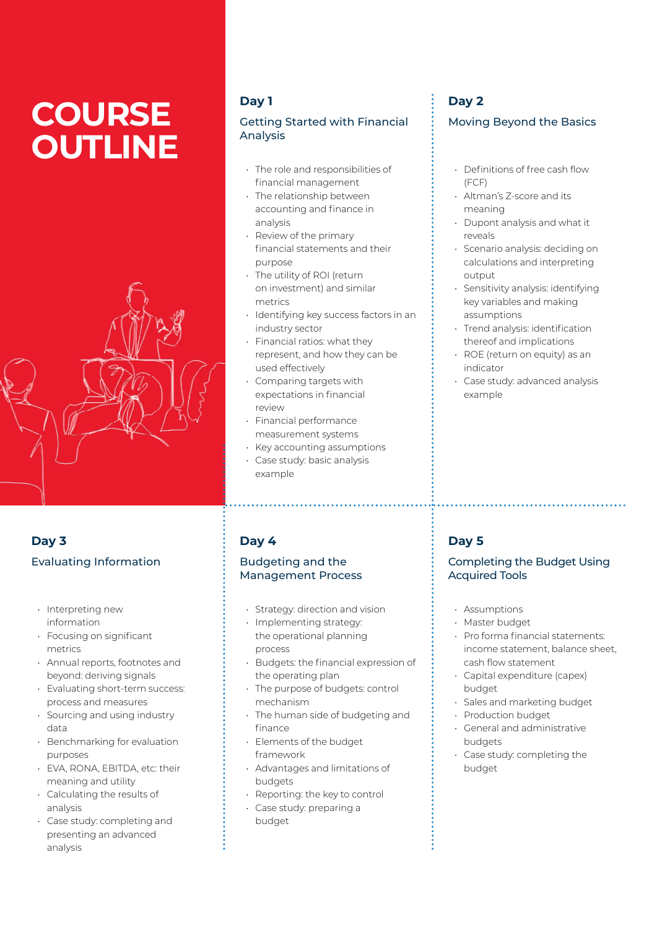# **COURSE OUTLINE**



# **Day 3** Evaluating Information

- Interpreting new information
- Focusing on significant metrics
- Annual reports, footnotes and beyond: deriving signals
- Evaluating short-term success: process and measures
- Sourcing and using industry data
- Benchmarking for evaluation purposes
- EVA, RONA, EBITDA, etc: their meaning and utility
- Calculating the results of analysis
- Case study: completing and presenting an advanced analysis

## **Day 1**

#### Getting Started with Financial Analysis

- The role and responsibilities of financial management
- The relationship between accounting and finance in analysis
- Review of the primary financial statements and their purpose
- The utility of ROI (return on investment) and similar metrics
- Identifying key success factors in an industry sector
- Financial ratios: what they represent, and how they can be used effectively
- Comparing targets with expectations in financial review
- Financial performance measurement systems
- Key accounting assumptions
- Case study: basic analysis example

#### **Day 4**

#### Budgeting and the Management Process

- Strategy: direction and vision
- Implementing strategy: the operational planning process
- Budgets: the financial expression of the operating plan
- The purpose of budgets: control mechanism
- The human side of budgeting and finance
- Elements of the budget framework
- Advantages and limitations of budgets
- Reporting: the key to control
- Case study: preparing a budget

# **Day 2**

#### Moving Beyond the Basics

- Definitions of free cash flow  $(FCF)$
- Altman's Z-score and its meaning
- Dupont analysis and what it reveals
- Scenario analysis: deciding on calculations and interpreting output
- Sensitivity analysis: identifying key variables and making assumptions
- Trend analysis: identification thereof and implications
- ROE (return on equity) as an indicator
- Case study: advanced analysis example

## **Day 5**

#### Completing the Budget Using Acquired Tools

- Assumptions
- Master budget
- Pro forma financial statements: income statement, balance sheet, cash flow statement
- Capital expenditure (capex) budget
- Sales and marketing budget
- Production budget
- General and administrative budgets
- Case study: completing the budget